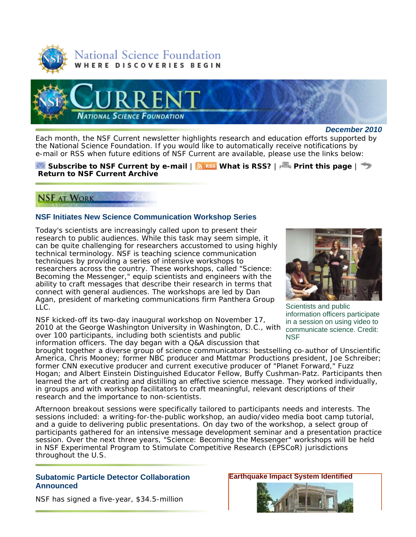



*December 2010*

Each month, the *NSF Current* newsletter highlights research and education efforts supported by the National Science Foundation. If you would like to automatically receive notifications by e-mail or RSS when future editions of *NSF Current* are available, please use the links below:

### **Subscribe to** *NSF Current* **by e-mail** | **What is RSS?** | **Print this page** | **Return to** *NSF Current* **Archive**

# **NSF AT WORK**

## **NSF Initiates New Science Communication Workshop Series**

Today's scientists are increasingly called upon to present their research to public audiences. While this task may seem simple, it can be quite challenging for researchers accustomed to using highly technical terminology. NSF is teaching science communication techniques by providing a series of intensive workshops to researchers across the country. These workshops, called "Science: Becoming the Messenger," equip scientists and engineers with the ability to craft messages that describe their research in terms that connect with general audiences. The workshops are led by Dan Agan, president of marketing communications firm Panthera Group LLC.

NSF kicked-off its two-day inaugural workshop on November 17, 2010 at the George Washington University in Washington, D.C., with over 100 participants, including both scientists and public information officers. The day began with a Q&A discussion that



Scientists and public information officers participate in a session on using video to communicate science. Credit: **NSF** 

brought together a diverse group of science communicators: bestselling co-author of *Unscientific America*, Chris Mooney; former NBC producer and Mattmar Productions president, Joe Schreiber; former CNN executive producer and current executive producer of "Planet Forward," Fuzz Hogan; and Albert Einstein Distinguished Educator Fellow, Buffy Cushman-Patz. Participants then learned the art of creating and distilling an effective science message. They worked individually, in groups and with workshop facilitators to craft meaningful, relevant descriptions of their research and the importance to non-scientists.

Afternoon breakout sessions were specifically tailored to participants needs and interests. The sessions included: a writing-for-the-public workshop, an audio/video media boot camp tutorial, and a guide to delivering public presentations. On day two of the workshop, a select group of participants gathered for an intensive message development seminar and a presentation practice session. Over the next three years, "Science: Becoming the Messenger" workshops will be held in NSF Experimental Program to Stimulate Competitive Research (EPSCoR) jurisdictions throughout the U.S.

### **Subatomic Particle Detector Collaboration Announced**

NSF has signed a five-year, \$34.5-million

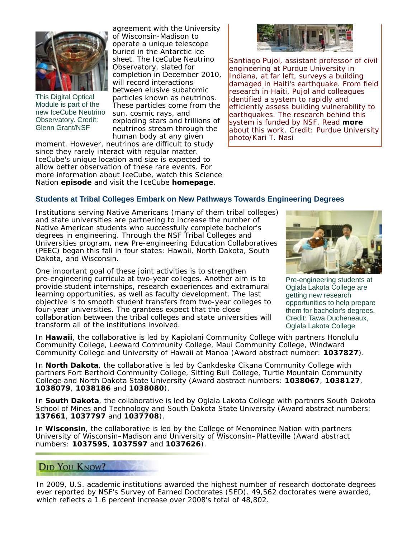

This Digital Optical Module is part of the new IceCube Neutrino Observatory. Credit: Glenn Grant/NSF

agreement with the University of Wisconsin-Madison to operate a unique telescope buried in the Antarctic ice sheet. The IceCube Neutrino Observatory, slated for completion in December 2010, will record interactions between elusive subatomic particles known as neutrinos. These particles come from the sun, cosmic rays, and exploding stars and trillions of neutrinos stream through the human body at any given

moment. However, neutrinos are difficult to study since they rarely interact with regular matter. IceCube's unique location and size is expected to allow better observation of these rare events. For more information about IceCube, watch this Science Nation **episode** and visit the IceCube **homepage**.



Santiago Pujol, assistant professor of civil engineering at Purdue University in Indiana, at far left, surveys a building damaged in Haiti's earthquake. From field research in Haiti, Pujol and colleagues identified a system to rapidly and efficiently assess building vulnerability to earthquakes. The research behind this system is funded by NSF. Read **more** about this work. Credit: Purdue University photo/Kari T. Nasi

## **Students at Tribal Colleges Embark on New Pathways Towards Engineering Degrees**

Institutions serving Native Americans (many of them tribal colleges) and state universities are partnering to increase the number of Native American students who successfully complete bachelor's degrees in engineering. Through the NSF Tribal Colleges and Universities program, new Pre-engineering Education Collaboratives (PEEC) began this fall in four states: Hawaii, North Dakota, South Dakota, and Wisconsin.

One important goal of these joint activities is to strengthen pre-engineering curricula at two-year colleges. Another aim is to provide student internships, research experiences and extramural learning opportunities, as well as faculty development. The last objective is to smooth student transfers from two-year colleges to four-year universities. The grantees expect that the close collaboration between the tribal colleges and state universities will transform all of the institutions involved.



Pre-engineering students at Oglala Lakota College are getting new research opportunities to help prepare them for bachelor's degrees. Credit: Tawa Ducheneaux, Oglala Lakota College

In **Hawaii**, the collaborative is led by Kapiolani Community College with partners Honolulu Community College, Leeward Community College, Maui Community College, Windward Community College and University of Hawaii at Manoa (Award abstract number: **1037827**).

In **North Dakota**, the collaborative is led by Cankdeska Cikana Community College with partners Fort Berthold Community College, Sitting Bull College, Turtle Mountain Community College and North Dakota State University (Award abstract numbers: **1038067**, **1038127**, **1038079**, **1038186** and **1038080**).

In **South Dakota**, the collaborative is led by Oglala Lakota College with partners South Dakota School of Mines and Technology and South Dakota State University (Award abstract numbers: **137661**, **1037797** and **1037708**).

In **Wisconsin**, the collaborative is led by the College of Menominee Nation with partners University of Wisconsin–Madison and University of Wisconsin–Platteville (Award abstract numbers: **1037595**, **1037597** and **1037626**).

# DID YOU KNOW?

In 2009, U.S. academic institutions awarded the highest number of research doctorate degrees ever reported by NSF's Survey of Earned Doctorates (SED). 49,562 doctorates were awarded, which reflects a 1.6 percent increase over 2008's total of 48,802.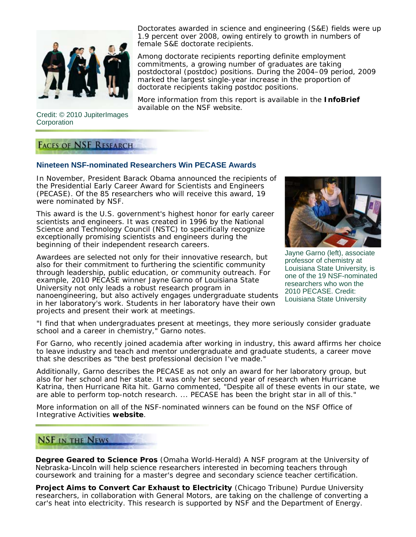

Credit: © 2010 JupiterImages **Corporation** 

**FACES OF NSF RESEARCH** 

## **Nineteen NSF-nominated Researchers Win PECASE Awards**

In November, President Barack Obama announced the recipients of the Presidential Early Career Award for Scientists and Engineers (PECASE). Of the 85 researchers who will receive this award, 19 were nominated by NSF.

This award is the U.S. government's highest honor for early career scientists and engineers. It was created in 1996 by the National Science and Technology Council (NSTC) to specifically recognize exceptionally promising scientists and engineers during the beginning of their independent research careers.

Awardees are selected not only for their innovative research, but also for their commitment to furthering the scientific community through leadership, public education, or community outreach. For example, 2010 PECASE winner Jayne Garno of Louisiana State University not only leads a robust research program in nanoengineering, but also actively engages undergraduate students in her laboratory's work. Students in her laboratory have their own projects and present their work at meetings.

Jayne Garno (left), associate professor of chemistry at Louisiana State University, is one of the 19 NSF-nominated researchers who won the 2010 PECASE. Credit: Louisiana State University

"I find that when undergraduates present at meetings, they more seriously consider graduate school and a career in chemistry," Garno notes.

For Garno, who recently joined academia after working in industry, this award affirms her choice to leave industry and teach and mentor undergraduate and graduate students, a career move that she describes as "the best professional decision I've made."

Additionally, Garno describes the PECASE as not only an award for her laboratory group, but also for her school and her state. It was only her second year of research when Hurricane Katrina, then Hurricane Rita hit. Garno commented, "Despite all of these events in our state, we are able to perform top-notch research. ... PECASE has been the bright star in all of this."

More information on all of the NSF-nominated winners can be found on the NSF Office of Integrative Activities **website**.

## **NSF IN THE NEWS**

**Degree Geared to Science Pros** (*Omaha World-Herald*) A NSF program at the University of Nebraska-Lincoln will help science researchers interested in becoming teachers through coursework and training for a master's degree and secondary science teacher certification.

**Project Aims to Convert Car Exhaust to Electricity** (*Chicago Tribune*) Purdue University researchers, in collaboration with General Motors, are taking on the challenge of converting a car's heat into electricity. This research is supported by NSF and the Department of Energy.

Doctorates awarded in science and engineering (S&E) fields were up 1.9 percent over 2008, owing entirely to growth in numbers of female S&E doctorate recipients.

Among doctorate recipients reporting definite employment commitments, a growing number of graduates are taking postdoctoral (postdoc) positions. During the 2004-09 period, 2009 marked the largest single-year increase in the proportion of doctorate recipients taking postdoc positions.

More information from this report is available in the **InfoBrief** available on the NSF website.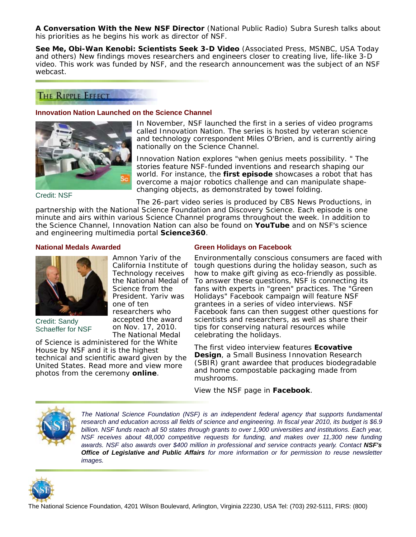**A Conversation With the New NSF Director** (*National Public Radio*) Subra Suresh talks about his priorities as he begins his work as director of NSF.

**See Me, Obi-Wan Kenobi: Scientists Seek 3-D Video** (*Associated Press, MSNBC, USA Today and others*) New findings moves researchers and engineers closer to creating live, life-like 3-D video. This work was funded by NSF, and the research announcement was the subject of an NSF webcast.

## THE RIPPLE EFFECT

#### **Innovation Nation Launched on the Science Channel**



In November, NSF launched the first in a series of video programs called Innovation Nation. The series is hosted by veteran science and technology correspondent Miles O'Brien, and is currently airing nationally on the Science Channel.

Innovation Nation explores "when genius meets possibility. " The stories feature NSF-funded inventions and research shaping our world. For instance, the **first episode** showcases a robot that has overcome a major robotics challenge and can manipulate shapechanging objects, as demonstrated by towel folding.

Credit: NSF

The 26-part video series is produced by CBS News Productions, in

partnership with the National Science Foundation and Discovery Science. Each episode is one minute and airs within various Science Channel programs throughout the week. In addition to the Science Channel, Innovation Nation can also be found on **YouTube** and on NSF's science and engineering multimedia portal **Science360**.

#### **National Medals Awarded**



Credit: Sandy Schaeffer for NSF

Amnon Yariv of the California Institute of Technology receives the National Medal of Science from the President. Yariv was one of ten researchers who accepted the award on Nov. 17, 2010. The National Medal

of Science is administered for the White House by NSF and it is the highest technical and scientific award given by the United States. Read more and view more photos from the ceremony **online**.

#### **Green Holidays on Facebook**

Environmentally conscious consumers are faced with tough questions during the holiday season, such as how to make gift giving as eco-friendly as possible. To answer these questions, NSF is connecting its fans with experts in "green" practices. The "Green Holidays" Facebook campaign will feature NSF grantees in a series of video interviews. NSF Facebook fans can then suggest other questions for scientists and researchers, as well as share their tips for conserving natural resources while celebrating the holidays.

The first video interview features **Ecovative Design**, a Small Business Innovation Research (SBIR) grant awardee that produces biodegradable and home compostable packaging made from mushrooms.

View the NSF page in **Facebook**.



*The National Science Foundation (NSF) is an independent federal agency that supports fundamental research and education across all fields of science and engineering. In fiscal year 2010, its budget is \$6.9 billion. NSF funds reach all 50 states through grants to over 1,900 universities and institutions. Each year, NSF receives about 48,000 competitive requests for funding, and makes over 11,300 new funding awards. NSF also awards over \$400 million in professional and service contracts yearly. Contact NSF's Office of Legislative and Public Affairs for more information or for permission to reuse newsletter images.*